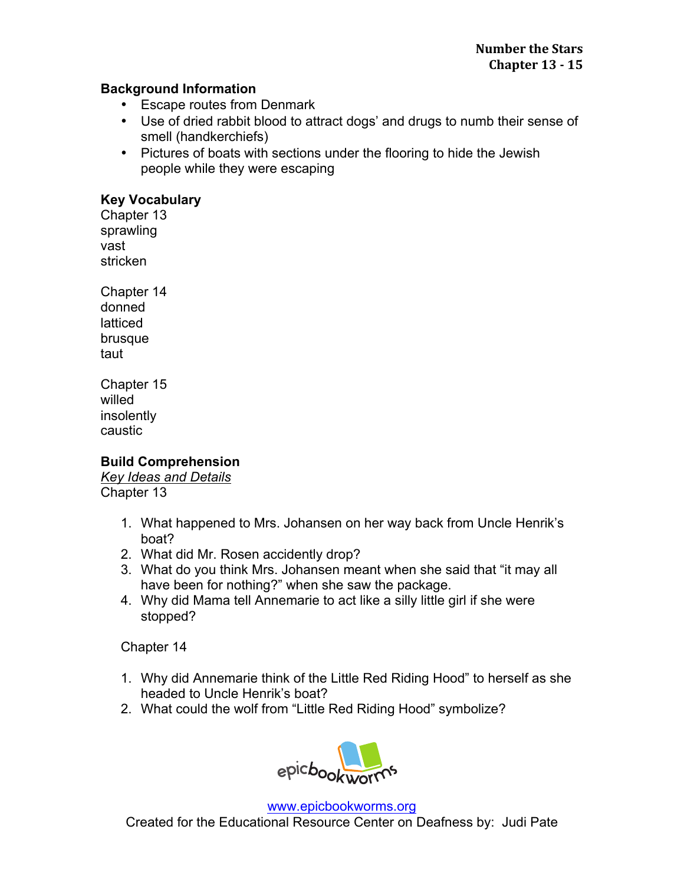## **Background Information**

- Escape routes from Denmark
- Use of dried rabbit blood to attract dogs' and drugs to numb their sense of smell (handkerchiefs)
- Pictures of boats with sections under the flooring to hide the Jewish people while they were escaping

## **Key Vocabulary**

Chapter 13 sprawling vast stricken

Chapter 14 donned latticed brusque taut

Chapter 15 willed insolently caustic

**Build Comprehension** 

*Key Ideas and Details*  Chapter 13

- 1. What happened to Mrs. Johansen on her way back from Uncle Henrik's boat?
- 2. What did Mr. Rosen accidently drop?
- 3. What do you think Mrs. Johansen meant when she said that "it may all have been for nothing?" when she saw the package.
- 4. Why did Mama tell Annemarie to act like a silly little girl if she were stopped?

Chapter 14

- 1. Why did Annemarie think of the Little Red Riding Hood" to herself as she headed to Uncle Henrik's boat?
- 2. What could the wolf from "Little Red Riding Hood" symbolize?



www.epicbookworms.org Created for the Educational Resource Center on Deafness by: Judi Pate